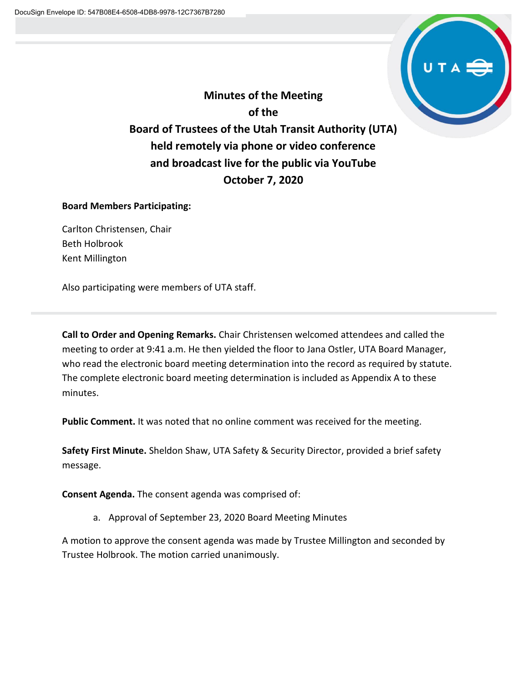

**Minutes of the Meeting of the Board of Trustees of the Utah Transit Authority (UTA) held remotely via phone or video conference and broadcast live for the public via YouTube October 7, 2020**

# **Board Members Participating:**

Carlton Christensen, Chair Beth Holbrook Kent Millington

Also participating were members of UTA staff.

**Call to Order and Opening Remarks.** Chair Christensen welcomed attendees and called the meeting to order at 9:41 a.m. He then yielded the floor to Jana Ostler, UTA Board Manager, who read the electronic board meeting determination into the record as required by statute. The complete electronic board meeting determination is included as Appendix A to these minutes.

**Public Comment.** It was noted that no online comment was received for the meeting.

**Safety First Minute.** Sheldon Shaw, UTA Safety & Security Director, provided a brief safety message.

**Consent Agenda.** The consent agenda was comprised of:

a. Approval of September 23, 2020 Board Meeting Minutes

A motion to approve the consent agenda was made by Trustee Millington and seconded by Trustee Holbrook. The motion carried unanimously.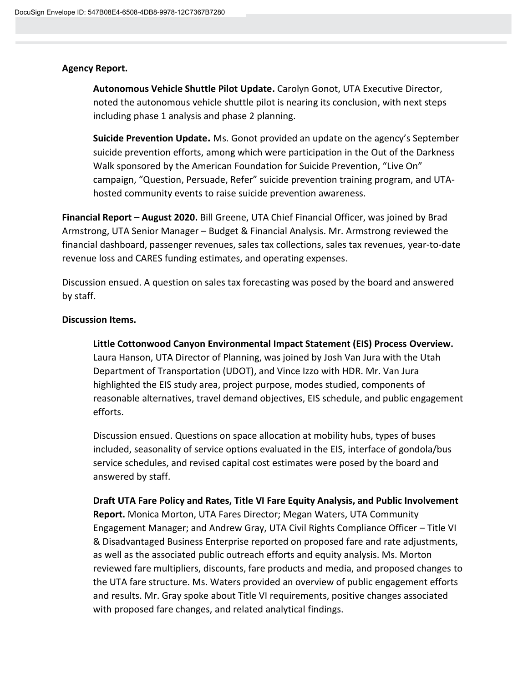# **Agency Report.**

**Autonomous Vehicle Shuttle Pilot Update.** Carolyn Gonot, UTA Executive Director, noted the autonomous vehicle shuttle pilot is nearing its conclusion, with next steps including phase 1 analysis and phase 2 planning.

**Suicide Prevention Update.** Ms. Gonot provided an update on the agency's September suicide prevention efforts, among which were participation in the Out of the Darkness Walk sponsored by the American Foundation for Suicide Prevention, "Live On" campaign, "Question, Persuade, Refer" suicide prevention training program, and UTAhosted community events to raise suicide prevention awareness.

**Financial Report – August 2020.** Bill Greene, UTA Chief Financial Officer, was joined by Brad Armstrong, UTA Senior Manager – Budget & Financial Analysis. Mr. Armstrong reviewed the financial dashboard, passenger revenues, sales tax collections, sales tax revenues, year-to-date revenue loss and CARES funding estimates, and operating expenses.

Discussion ensued. A question on sales tax forecasting was posed by the board and answered by staff.

# **Discussion Items.**

**Little Cottonwood Canyon Environmental Impact Statement (EIS) Process Overview.**  Laura Hanson, UTA Director of Planning, was joined by Josh Van Jura with the Utah Department of Transportation (UDOT), and Vince Izzo with HDR. Mr. Van Jura highlighted the EIS study area, project purpose, modes studied, components of reasonable alternatives, travel demand objectives, EIS schedule, and public engagement efforts.

Discussion ensued. Questions on space allocation at mobility hubs, types of buses included, seasonality of service options evaluated in the EIS, interface of gondola/bus service schedules, and revised capital cost estimates were posed by the board and answered by staff.

**Draft UTA Fare Policy and Rates, Title VI Fare Equity Analysis, and Public Involvement Report.** Monica Morton, UTA Fares Director; Megan Waters, UTA Community Engagement Manager; and Andrew Gray, UTA Civil Rights Compliance Officer – Title VI & Disadvantaged Business Enterprise reported on proposed fare and rate adjustments, as well as the associated public outreach efforts and equity analysis. Ms. Morton reviewed fare multipliers, discounts, fare products and media, and proposed changes to the UTA fare structure. Ms. Waters provided an overview of public engagement efforts and results. Mr. Gray spoke about Title VI requirements, positive changes associated with proposed fare changes, and related analytical findings.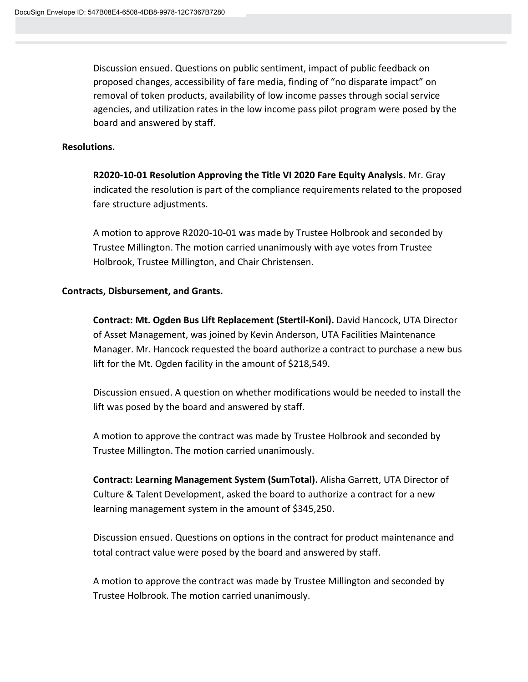Discussion ensued. Questions on public sentiment, impact of public feedback on proposed changes, accessibility of fare media, finding of "no disparate impact" on removal of token products, availability of low income passes through social service agencies, and utilization rates in the low income pass pilot program were posed by the board and answered by staff.

#### **Resolutions.**

**R2020-10-01 Resolution Approving the Title VI 2020 Fare Equity Analysis.** Mr. Gray indicated the resolution is part of the compliance requirements related to the proposed fare structure adjustments.

A motion to approve R2020-10-01 was made by Trustee Holbrook and seconded by Trustee Millington. The motion carried unanimously with aye votes from Trustee Holbrook, Trustee Millington, and Chair Christensen.

#### **Contracts, Disbursement, and Grants.**

**Contract: Mt. Ogden Bus Lift Replacement (Stertil-Koni).** David Hancock, UTA Director of Asset Management, was joined by Kevin Anderson, UTA Facilities Maintenance Manager. Mr. Hancock requested the board authorize a contract to purchase a new bus lift for the Mt. Ogden facility in the amount of \$218,549.

Discussion ensued. A question on whether modifications would be needed to install the lift was posed by the board and answered by staff.

A motion to approve the contract was made by Trustee Holbrook and seconded by Trustee Millington. The motion carried unanimously.

**Contract: Learning Management System (SumTotal).** Alisha Garrett, UTA Director of Culture & Talent Development, asked the board to authorize a contract for a new learning management system in the amount of \$345,250.

Discussion ensued. Questions on options in the contract for product maintenance and total contract value were posed by the board and answered by staff.

A motion to approve the contract was made by Trustee Millington and seconded by Trustee Holbrook. The motion carried unanimously.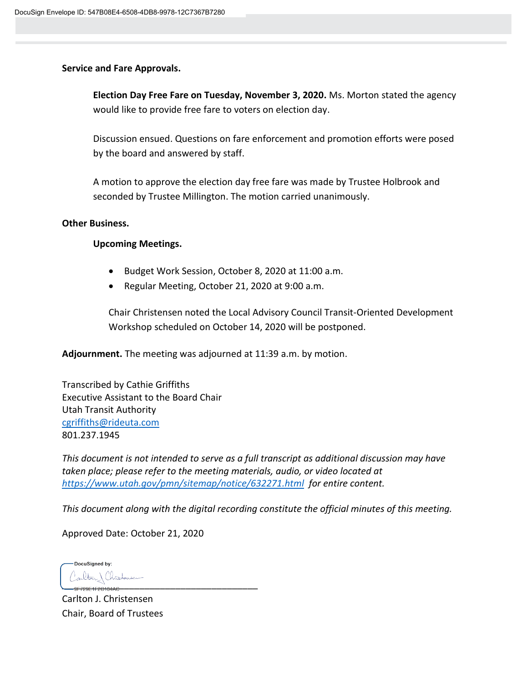# **Service and Fare Approvals.**

**Election Day Free Fare on Tuesday, November 3, 2020.** Ms. Morton stated the agency would like to provide free fare to voters on election day.

Discussion ensued. Questions on fare enforcement and promotion efforts were posed by the board and answered by staff.

A motion to approve the election day free fare was made by Trustee Holbrook and seconded by Trustee Millington. The motion carried unanimously.

# **Other Business.**

# **Upcoming Meetings.**

- Budget Work Session, October 8, 2020 at 11:00 a.m.
- Regular Meeting, October 21, 2020 at 9:00 a.m.

Chair Christensen noted the Local Advisory Council Transit-Oriented Development Workshop scheduled on October 14, 2020 will be postponed.

**Adjournment.** The meeting was adjourned at 11:39 a.m. by motion.

Transcribed by Cathie Griffiths Executive Assistant to the Board Chair Utah Transit Authority [cgriffiths@rideuta.com](mailto:cgriffiths@rideuta.com) 801.237.1945

*This document is not intended to serve as a full transcript as additional discussion may have taken place; please refer to the meeting materials, audio, or video located at <https://www.utah.gov/pmn/sitemap/notice/632271.html> for entire content.*

*This document along with the digital recording constitute the official minutes of this meeting.*

Approved Date: October 21, 2020

DocuSigned by: \_\_\_\_\_\_\_\_\_\_\_\_\_\_\_\_\_\_\_\_\_\_\_\_\_\_\_\_\_\_\_\_\_\_\_\_\_\_

Carlton J. Christensen Chair, Board of Trustees